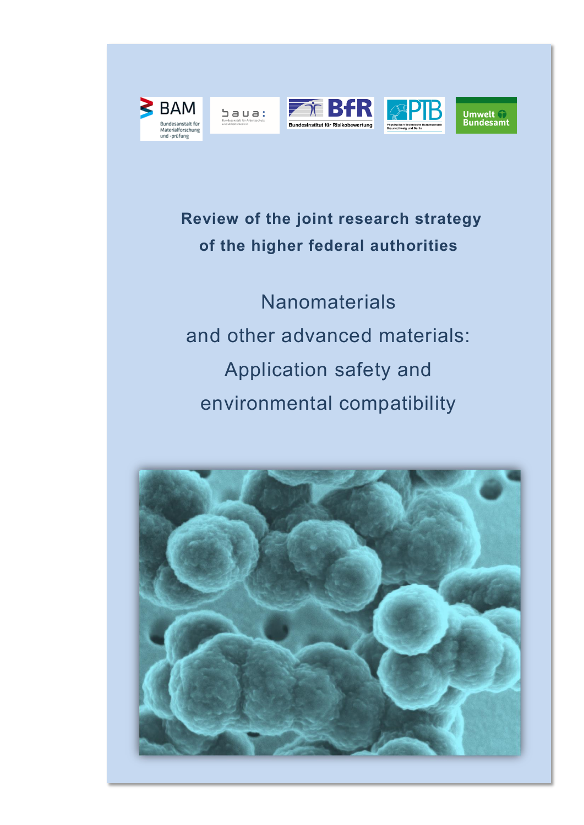









 **Review of the joint research strategy of the higher federal authorities**

**Nanomaterials** and other advanced materials: Application safety and environmental compatibility

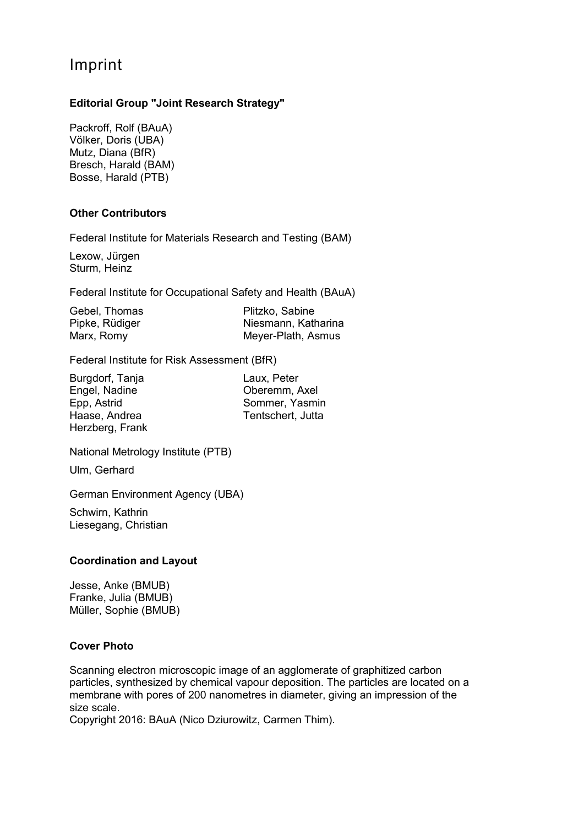# Imprint

#### **Editorial Group "Joint Research Strategy"**

Packroff, Rolf (BAuA) Völker, Doris (UBA) Mutz, Diana (BfR) Bresch, Harald (BAM) Bosse, Harald (PTB)

#### **Other Contributors**

Federal Institute for Materials Research and Testing (BAM)

Lexow, Jürgen Sturm, Heinz

Federal Institute for Occupational Safety and Health (BAuA)

| Gebel, Thomas  | Plitzko, Sabine     |
|----------------|---------------------|
| Pipke, Rüdiger | Niesmann, Katharina |
| Marx, Romy     | Meyer-Plath, Asmus  |

Federal Institute for Risk Assessment (BfR)

| Burgdorf, Tanja |  |
|-----------------|--|
| Engel, Nadine   |  |
| Epp, Astrid     |  |
| Haase, Andrea   |  |
| Herzberg, Frank |  |

Laux, Peter Oberemm, Axel Sommer, Yasmin Tentschert, Jutta

National Metrology Institute (PTB)

Ulm, Gerhard

German Environment Agency (UBA)

Schwirn, Kathrin Liesegang, Christian

#### **Coordination and Layout**

Jesse, Anke (BMUB) Franke, Julia (BMUB) Müller, Sophie (BMUB)

#### **Cover Photo**

Scanning electron microscopic image of an agglomerate of graphitized carbon particles, synthesized by chemical vapour deposition. The particles are located on a membrane with pores of 200 nanometres in diameter, giving an impression of the size scale.

Copyright 2016: BAuA (Nico Dziurowitz, Carmen Thim).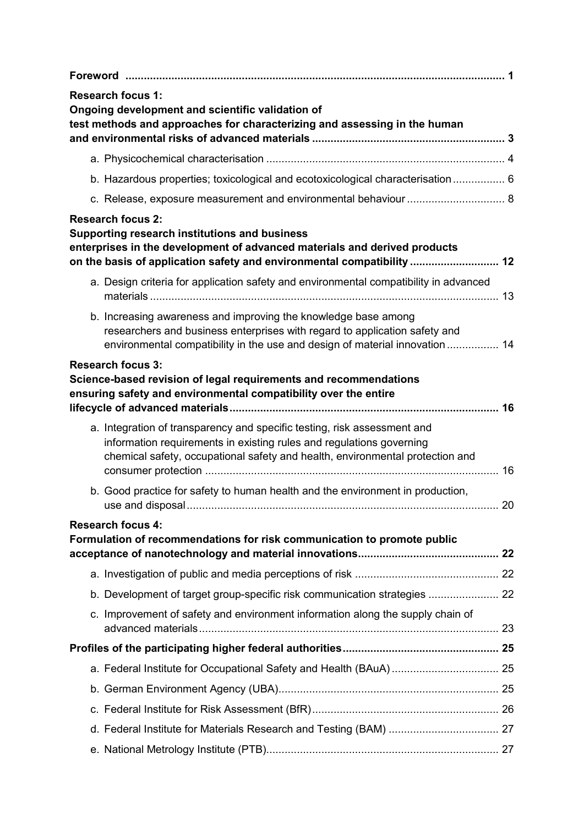| <b>Research focus 1:</b><br>Ongoing development and scientific validation of<br>test methods and approaches for characterizing and assessing in the human                                                                         |  |
|-----------------------------------------------------------------------------------------------------------------------------------------------------------------------------------------------------------------------------------|--|
|                                                                                                                                                                                                                                   |  |
| b. Hazardous properties; toxicological and ecotoxicological characterisation 6                                                                                                                                                    |  |
| c. Release, exposure measurement and environmental behaviour  8                                                                                                                                                                   |  |
| <b>Research focus 2:</b><br>Supporting research institutions and business<br>enterprises in the development of advanced materials and derived products<br>on the basis of application safety and environmental compatibility  12  |  |
| a. Design criteria for application safety and environmental compatibility in advanced                                                                                                                                             |  |
| b. Increasing awareness and improving the knowledge base among<br>researchers and business enterprises with regard to application safety and<br>environmental compatibility in the use and design of material innovation  14      |  |
| <b>Research focus 3:</b><br>Science-based revision of legal requirements and recommendations<br>ensuring safety and environmental compatibility over the entire                                                                   |  |
| a. Integration of transparency and specific testing, risk assessment and<br>information requirements in existing rules and regulations governing<br>chemical safety, occupational safety and health, environmental protection and |  |
| b. Good practice for safety to human health and the environment in production,                                                                                                                                                    |  |
| <b>Research focus 4:</b><br>Formulation of recommendations for risk communication to promote public                                                                                                                               |  |
|                                                                                                                                                                                                                                   |  |
| b. Development of target group-specific risk communication strategies  22                                                                                                                                                         |  |
| c. Improvement of safety and environment information along the supply chain of                                                                                                                                                    |  |
|                                                                                                                                                                                                                                   |  |
|                                                                                                                                                                                                                                   |  |
|                                                                                                                                                                                                                                   |  |
|                                                                                                                                                                                                                                   |  |
|                                                                                                                                                                                                                                   |  |
|                                                                                                                                                                                                                                   |  |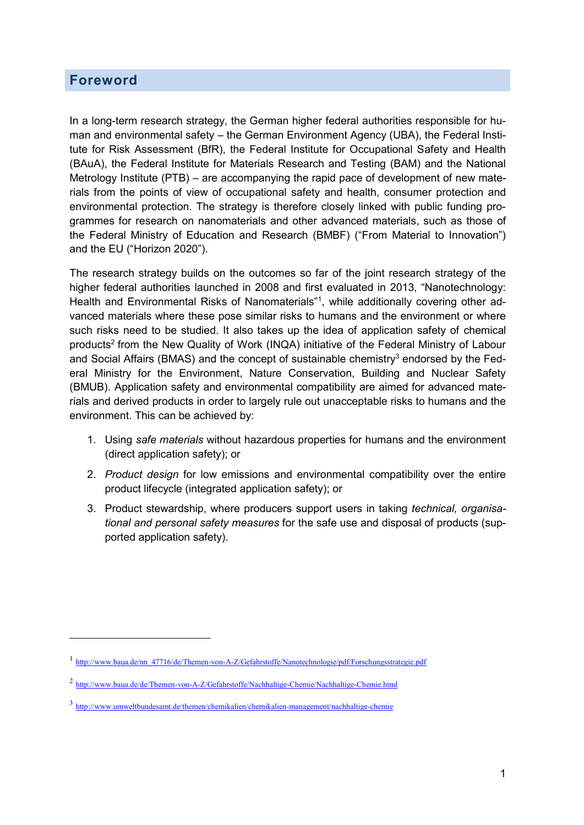### <span id="page-3-0"></span>**Foreword**

 $\overline{a}$ 

In a long-term research strategy, the German higher federal authorities responsible for human and environmental safety – the German Environment Agency (UBA), the Federal Institute for Risk Assessment (BfR), the Federal Institute for Occupational Safety and Health (BAuA), the Federal Institute for Materials Research and Testing (BAM) and the National Metrology Institute (PTB) – are accompanying the rapid pace of development of new materials from the points of view of occupational safety and health, consumer protection and environmental protection. The strategy is therefore closely linked with public funding programmes for research on nanomaterials and other advanced materials, such as those of the Federal Ministry of Education and Research (BMBF) ("From Material to Innovation") and the EU ("Horizon 2020").

The research strategy builds on the outcomes so far of the joint research strategy of the higher federal authorities launched in 2008 and first evaluated in 2013, "Nanotechnology: Health and Environmental Risks of Nanomaterials"<sup>1</sup>, while additionally covering other advanced materials where these pose similar risks to humans and the environment or where such risks need to be studied. It also takes up the idea of application safety of chemical products<sup>2</sup> from the New Quality of Work (INQA) initiative of the Federal Ministry of Labour and Social Affairs (BMAS) and the concept of sustainable chemistry<sup>3</sup> endorsed by the Federal Ministry for the Environment, Nature Conservation, Building and Nuclear Safety (BMUB). Application safety and environmental compatibility are aimed for advanced materials and derived products in order to largely rule out unacceptable risks to humans and the environment. This can be achieved by:

- 1. Using *safe materials* without hazardous properties for humans and the environment ( direct application safety); or
- 2. *Product design* for low emissions and environmental compatibility over the entire product lifecycle (integrated application safety); or
- 3. Product stewardship, where producers support users in taking *technical, organisational and personal safety measures* for the safe use and disposal of products (supported application safety).

<sup>&</sup>lt;sup>1</sup> [http://www.baua.de/nn\\_47716/de/Themen-von-A-Z/Gefahrstoffe/Nanotechnologie/pdf/Forschungsstrategie.pdf](http://www.baua.de/nn_47716/de/Themen-von-A-Z/Gefahrstoffe/Nanotechnologie/pdf/Forschungsstrategie.pdf)

<sup>2</sup> <http://www.baua.de/de/Themen-von-A-Z/Gefahrstoffe/Nachhaltige-Chemie/Nachhaltige-Chemie.html>

<sup>3</sup> <http://www.umweltbundesamt.de/themen/chemikalien/chemikalien-management/nachhaltige-chemie>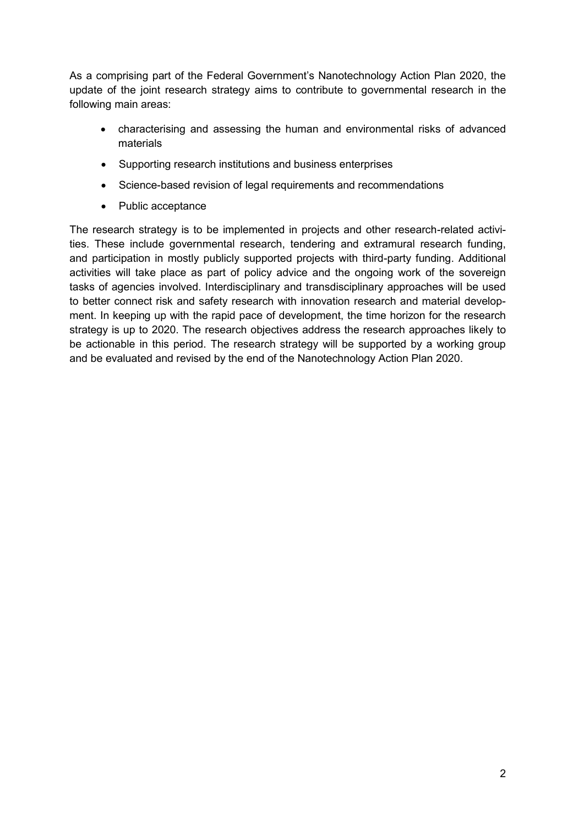As a comprising part of the Federal Government's Nanotechnology Action Plan 2020, the update of the joint research strategy aims to contribute to governmental research in the following main areas:

- characterising and assessing the human and environmental risks of advanced materials
- Supporting research institutions and business enterprises
- Science-based revision of legal requirements and recommendations
- Public acceptance

The research strategy is to be implemented in projects and other research-related activities. These include governmental research, tendering and extramural research funding, and participation in mostly publicly supported projects with third-party funding. Additional activities will take place as part of policy advice and the ongoing work of the sovereign tasks of agencies involved. Interdisciplinary and transdisciplinary approaches will be used to better connect risk and safety research with innovation research and material development. In keeping up with the rapid pace of development, the time horizon for the research strategy is up to 2020. The research objectives address the research approaches likely to be actionable in this period. The research strategy will be supported by a working group and be evaluated and revised by the end of the Nanotechnology Action Plan 2020.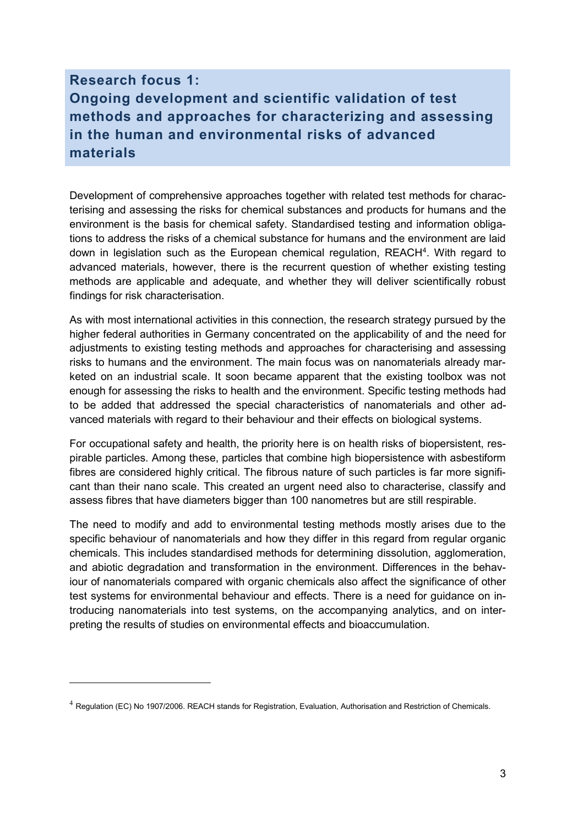# <span id="page-5-0"></span>**Research focus 1: Ongoing development and scientific validation of test methods and approaches for characterizing and assessing in the human and environmental risks of advanced materials**

Development of comprehensive approaches together with related test methods for characterising and assessing the risks for chemical substances and products for humans and the environment is the basis for chemical safety. Standardised testing and information obligations to address the risks of a chemical substance for humans and the environment are laid down in legislation such as the European chemical regulation, REACH<sup>4</sup>. With regard to advanced materials, however, there is the recurrent question of whether existing testing methods are applicable and adequate, and whether they will deliver scientifically robust findings for risk characterisation.

As with most international activities in this connection, the research strategy pursued by the higher federal authorities in Germany concentrated on the applicability of and the need for adjustments to existing testing methods and approaches for characterising and assessing risks to humans and the environment. The main focus was on nanomaterials already marketed on an industrial scale. It soon became apparent that the existing toolbox was not enough for assessing the risks to health and the environment. Specific testing methods had to be added that addressed the special characteristics of nanomaterials and other advanced materials with regard to their behaviour and their effects on biological systems.

For occupational safety and health, the priority here is on health risks of biopersistent, respirable particles. Among these, particles that combine high biopersistence with asbestiform fibres are considered highly critical. The fibrous nature of such particles is far more significant than their nano scale. This created an urgent need also to characterise, classify and assess fibres that have diameters bigger than 100 nanometres but are still respirable.

The need to modify and add to environmental testing methods mostly arises due to the specific behaviour of nanomaterials and how they differ in this regard from regular organic chemicals. This includes standardised methods for determining dissolution, agglomeration, and abiotic degradation and transformation in the environment. Differences in the behaviour of nanomaterials compared with organic chemicals also affect the significance of other test systems for environmental behaviour and effects. There is a need for guidance on introducing nanomaterials into test systems, on the accompanying analytics, and on interpreting the results of studies on environmental effects and bioaccumulation.

 $\overline{a}$ 

 $4$  Regulation (EC) No 1907/2006. REACH stands for Registration, Evaluation, Authorisation and Restriction of Chemicals.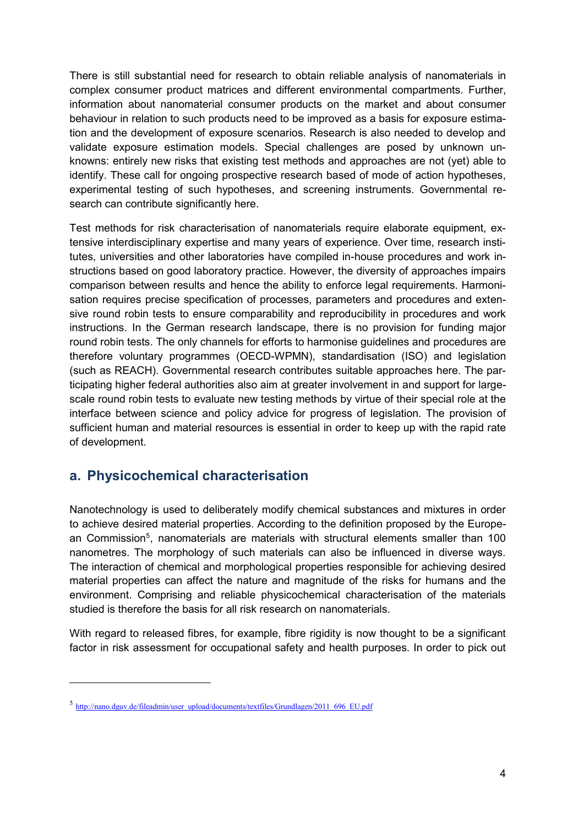There is still substantial need for research to obtain reliable analysis of nanomaterials in complex consumer product matrices and different environmental compartments. Further, information about nanomaterial consumer products on the market and about consumer behaviour in relation to such products need to be improved as a basis for exposure estimation and the development of exposure scenarios. Research is also needed to develop and validate exposure estimation models. Special challenges are posed by unknown unknowns: entirely new risks that existing test methods and approaches are not (yet) able to identify. These call for ongoing prospective research based of mode of action hypotheses, experimental testing of such hypotheses, and screening instruments. Governmental research can contribute significantly here.

Test methods for risk characterisation of nanomaterials require elaborate equipment, extensive interdisciplinary expertise and many years of experience. Over time, research institutes, universities and other laboratories have compiled in-house procedures and work instructions based on good laboratory practice. However, the diversity of approaches impairs comparison between results and hence the ability to enforce legal requirements. Harmonisation requires precise specification of processes, parameters and procedures and extensive round robin tests to ensure comparability and reproducibility in procedures and work instructions. In the German research landscape, there is no provision for funding major round robin tests. The only channels for efforts to harmonise guidelines and procedures are therefore voluntary programmes (OECD-WPMN), standardisation (ISO) and legislation (such as REACH). Governmental research contributes suitable approaches here. The participating higher federal authorities also aim at greater involvement in and support for largescale round robin tests to evaluate new testing methods by virtue of their special role at the interface between science and policy advice for progress of legislation. The provision of sufficient human and material resources is essential in order to keep up with the rapid rate of development.

## <span id="page-6-0"></span>**a. Physicochemical characterisation**

Nanotechnology is used to deliberately modify chemical substances and mixtures in order to achieve desired material properties. According to the definition proposed by the European Commission<sup>5</sup>, nanomaterials are materials with structural elements smaller than 100 nanometres. The morphology of such materials can also be influenced in diverse ways. The interaction of chemical and morphological properties responsible for achieving desired material properties can affect the nature and magnitude of the risks for humans and the environment. Comprising and reliable physicochemical characterisation of the materials studied is therefore the basis for all risk research on nanomaterials.

With regard to released fibres, for example, fibre rigidity is now thought to be a significant factor in risk assessment for occupational safety and health purposes. In order to pick out

 $\overline{a}$ 

<sup>5</sup> [http://nano.dguv.de/fileadmin/user\\_upload/documents/textfiles/Grundlagen/2011\\_696\\_EU.pdf](http://nano.dguv.de/fileadmin/user_upload/documents/textfiles/Grundlagen/2011_696_EU.pdf)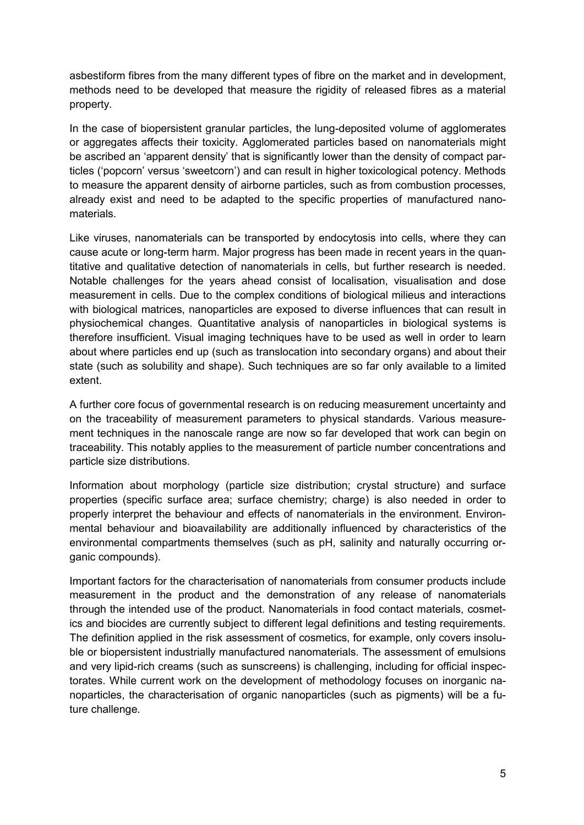asbestiform fibres from the many different types of fibre on the market and in development, methods need to be developed that measure the rigidity of released fibres as a material property.

In the case of biopersistent granular particles, the lung-deposited volume of agglomerates or aggregates affects their toxicity. Agglomerated particles based on nanomaterials might be ascribed an 'apparent density' that is significantly lower than the density of compact particles ('popcorn' versus 'sweetcorn') and can result in higher toxicological potency. Methods to measure the apparent density of airborne particles, such as from combustion processes, already exist and need to be adapted to the specific properties of manufactured nanomaterials.

Like viruses, nanomaterials can be transported by endocytosis into cells, where they can cause acute or long-term harm. Major progress has been made in recent years in the quantitative and qualitative detection of nanomaterials in cells, but further research is needed. Notable challenges for the years ahead consist of localisation, visualisation and dose measurement in cells. Due to the complex conditions of biological milieus and interactions with biological matrices, nanoparticles are exposed to diverse influences that can result in physiochemical changes. Quantitative analysis of nanoparticles in biological systems is therefore insufficient. Visual imaging techniques have to be used as well in order to learn about where particles end up (such as translocation into secondary organs) and about their state (such as solubility and shape). Such techniques are so far only available to a limited extent.

A further core focus of governmental research is on reducing measurement uncertainty and on the traceability of measurement parameters to physical standards. Various measurement techniques in the nanoscale range are now so far developed that work can begin on traceability. This notably applies to the measurement of particle number concentrations and particle size distributions.

Information about morphology (particle size distribution; crystal structure) and surface properties (specific surface area; surface chemistry; charge) is also needed in order to properly interpret the behaviour and effects of nanomaterials in the environment. Environmental behaviour and bioavailability are additionally influenced by characteristics of the environmental compartments themselves (such as pH, salinity and naturally occurring organic compounds).

Important factors for the characterisation of nanomaterials from consumer products include measurement in the product and the demonstration of any release of nanomaterials through the intended use of the product. Nanomaterials in food contact materials, cosmetics and biocides are currently subject to different legal definitions and testing requirements. The definition applied in the risk assessment of cosmetics, for example, only covers insoluble or biopersistent industrially manufactured nanomaterials. The assessment of emulsions and very lipid-rich creams (such as sunscreens) is challenging, including for official inspectorates. While current work on the development of methodology focuses on inorganic nanoparticles, the characterisation of organic nanoparticles (such as pigments) will be a future challenge.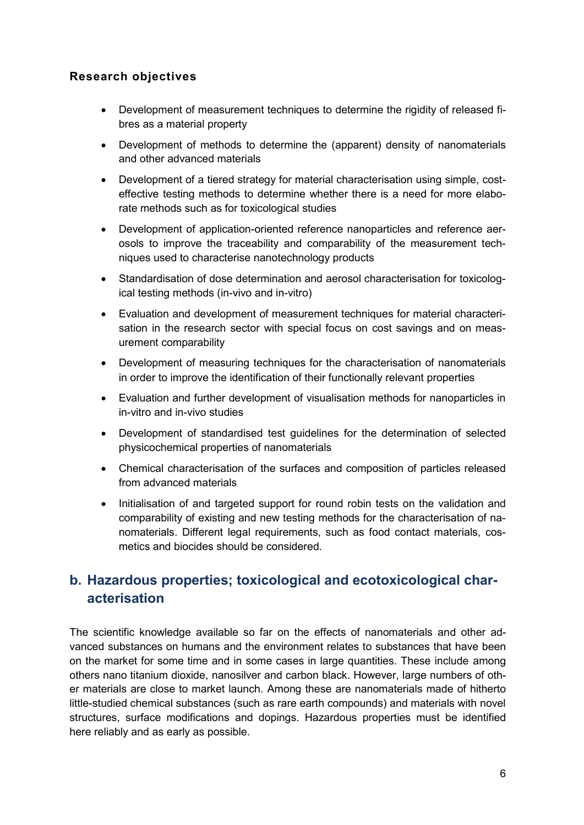## **Research objectives**

- Development of measurement techniques to determine the rigidity of released fibres as a material property
- Development of methods to determine the (apparent) density of nanomaterials and other advanced materials
- Development of a tiered strategy for material characterisation using simple, costeffective testing methods to determine whether there is a need for more elaborate methods such as for toxicological studies
- Development of application-oriented reference nanoparticles and reference aerosols to improve the traceability and comparability of the measurement techniques used to characterise nanotechnology products
- Standardisation of dose determination and aerosol characterisation for toxicological testing methods (in-vivo and in-vitro)
- Evaluation and development of measurement techniques for material characterisation in the research sector with special focus on cost savings and on measurement comparability
- Development of measuring techniques for the characterisation of nanomaterials in order to improve the identification of their functionally relevant properties
- Evaluation and further development of visualisation methods for nanoparticles in in-vitro and in-vivo studies
- Development of standardised test guidelines for the determination of selected physicochemical properties of nanomaterials
- Chemical characterisation of the surfaces and composition of particles released from advanced materials
- Initialisation of and targeted support for round robin tests on the validation and comparability of existing and new testing methods for the characterisation of nanomaterials. Different legal requirements, such as food contact materials, cosmetics and biocides should be considered.

# <span id="page-8-0"></span>**b. Hazardous properties; toxicological and ecotoxicological characterisation**

The scientific knowledge available so far on the effects of nanomaterials and other advanced substances on humans and the environment relates to substances that have been on the market for some time and in some cases in large quantities. These include among others nano titanium dioxide, nanosilver and carbon black. However, large numbers of other materials are close to market launch. Among these are nanomaterials made of hitherto little-studied chemical substances (such as rare earth compounds) and materials with novel structures, surface modifications and dopings. Hazardous properties must be identified here reliably and as early as possible.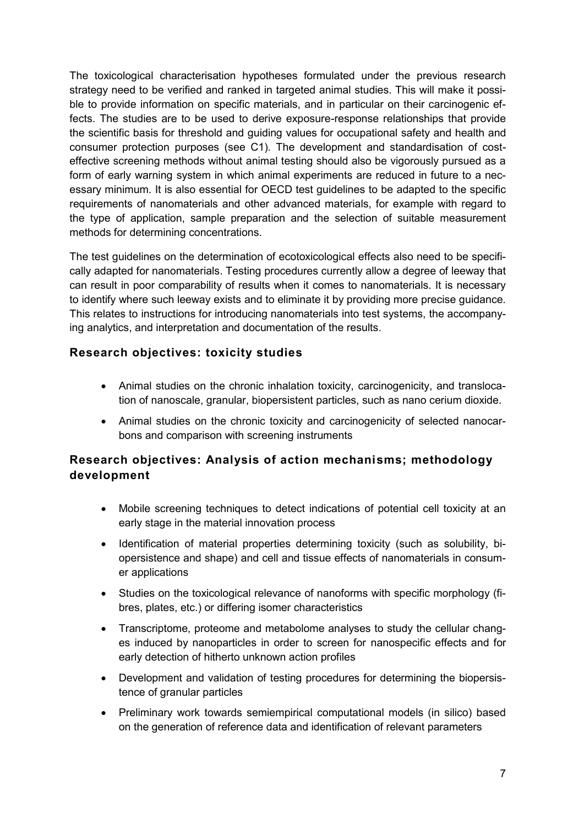The toxicological characterisation hypotheses formulated under the previous research strategy need to be verified and ranked in targeted animal studies. This will make it possible to provide information on specific materials, and in particular on their carcinogenic effects. The studies are to be used to derive exposure-response relationships that provide the scientific basis for threshold and guiding values for occupational safety and health and consumer protection purposes (see C1). The development and standardisation of costeffective screening methods without animal testing should also be vigorously pursued as a form of early warning system in which animal experiments are reduced in future to a necessary minimum. It is also essential for OECD test guidelines to be adapted to the specific requirements of nanomaterials and other advanced materials, for example with regard to the type of application, sample preparation and the selection of suitable measurement methods for determining concentrations.

The test guidelines on the determination of ecotoxicological effects also need to be specifically adapted for nanomaterials. Testing procedures currently allow a degree of leeway that can result in poor comparability of results when it comes to nanomaterials. It is necessary to identify where such leeway exists and to eliminate it by providing more precise guidance. This relates to instructions for introducing nanomaterials into test systems, the accompanying analytics, and interpretation and documentation of the results.

## **Research objectives: toxicity studies**

- Animal studies on the chronic inhalation toxicity, carcinogenicity, and translocation of nanoscale, granular, biopersistent particles, such as nano cerium dioxide.
- Animal studies on the chronic toxicity and carcinogenicity of selected nanocarbons and comparison with screening instruments

## **Research objectives: Analysis of action mechanisms; methodology development**

- Mobile screening techniques to detect indications of potential cell toxicity at an early stage in the material innovation process
- Identification of material properties determining toxicity (such as solubility, biopersistence and shape) and cell and tissue effects of nanomaterials in consumer applications
- Studies on the toxicological relevance of nanoforms with specific morphology (fibres, plates, etc.) or differing isomer characteristics
- Transcriptome, proteome and metabolome analyses to study the cellular changes induced by nanoparticles in order to screen for nanospecific effects and for early detection of hitherto unknown action profiles
- Development and validation of testing procedures for determining the biopersistence of granular particles
- Preliminary work towards semiempirical computational models (in silico) based on the generation of reference data and identification of relevant parameters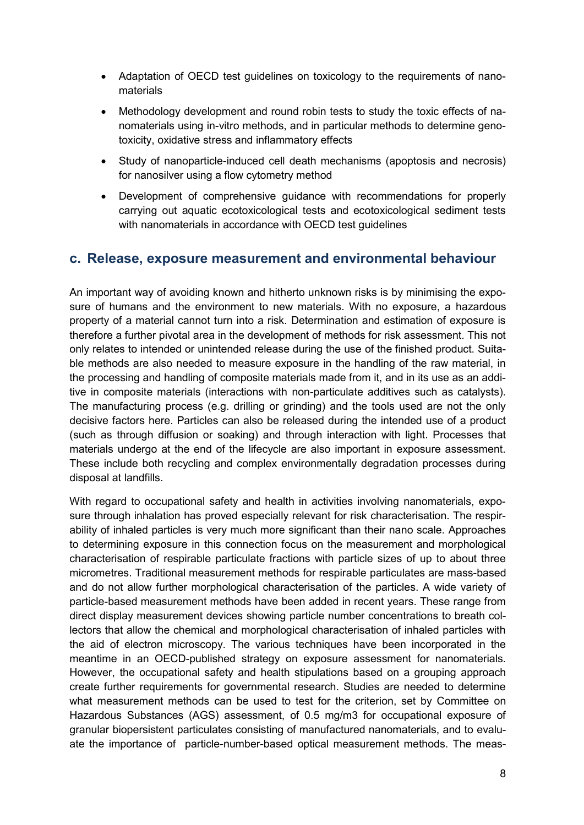- Adaptation of OECD test guidelines on toxicology to the requirements of nanomaterials
- Methodology development and round robin tests to study the toxic effects of nanomaterials using in-vitro methods, and in particular methods to determine genotoxicity, oxidative stress and inflammatory effects
- Study of nanoparticle-induced cell death mechanisms (apoptosis and necrosis) for nanosilver using a flow cytometry method
- Development of comprehensive guidance with recommendations for properly carrying out aquatic ecotoxicological tests and ecotoxicological sediment tests with nanomaterials in accordance with OECD test guidelines

## <span id="page-10-0"></span>**c. Release, exposure measurement and environmental behaviour**

An important way of avoiding known and hitherto unknown risks is by minimising the exposure of humans and the environment to new materials. With no exposure, a hazardous property of a material cannot turn into a risk. Determination and estimation of exposure is therefore a further pivotal area in the development of methods for risk assessment. This not only relates to intended or unintended release during the use of the finished product. Suitable methods are also needed to measure exposure in the handling of the raw material, in the processing and handling of composite materials made from it, and in its use as an additive in composite materials (interactions with non-particulate additives such as catalysts). The manufacturing process (e.g. drilling or grinding) and the tools used are not the only decisive factors here. Particles can also be released during the intended use of a product (such as through diffusion or soaking) and through interaction with light. Processes that materials undergo at the end of the lifecycle are also important in exposure assessment. These include both recycling and complex environmentally degradation processes during disposal at landfills.

With regard to occupational safety and health in activities involving nanomaterials, exposure through inhalation has proved especially relevant for risk characterisation. The respirability of inhaled particles is very much more significant than their nano scale. Approaches to determining exposure in this connection focus on the measurement and morphological characterisation of respirable particulate fractions with particle sizes of up to about three micrometres. Traditional measurement methods for respirable particulates are mass-based and do not allow further morphological characterisation of the particles. A wide variety of particle-based measurement methods have been added in recent years. These range from direct display measurement devices showing particle number concentrations to breath collectors that allow the chemical and morphological characterisation of inhaled particles with the aid of electron microscopy. The various techniques have been incorporated in the meantime in an OECD-published strategy on exposure assessment for nanomaterials. However, the occupational safety and health stipulations based on a grouping approach create further requirements for governmental research. Studies are needed to determine what measurement methods can be used to test for the criterion, set by Committee on Hazardous Substances (AGS) assessment, of 0.5 mg/m3 for occupational exposure of granular biopersistent particulates consisting of manufactured nanomaterials, and to evaluate the importance of particle-number-based optical measurement methods. The meas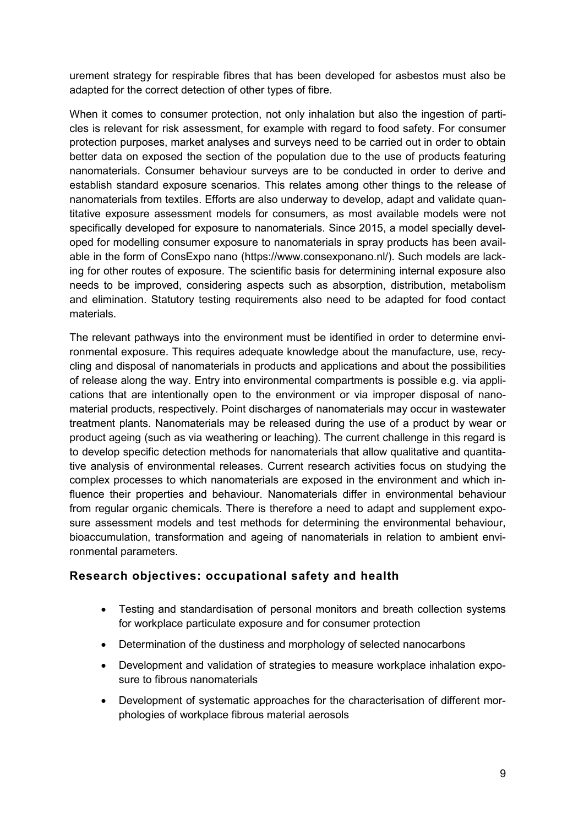urement strategy for respirable fibres that has been developed for asbestos must also be adapted for the correct detection of other types of fibre.

When it comes to consumer protection, not only inhalation but also the ingestion of particles is relevant for risk assessment, for example with regard to food safety. For consumer protection purposes, market analyses and surveys need to be carried out in order to obtain better data on exposed the section of the population due to the use of products featuring nanomaterials. Consumer behaviour surveys are to be conducted in order to derive and establish standard exposure scenarios. This relates among other things to the release of nanomaterials from textiles. Efforts are also underway to develop, adapt and validate quantitative exposure assessment models for consumers, as most available models were not specifically developed for exposure to nanomaterials. Since 2015, a model specially developed for modelling consumer exposure to nanomaterials in spray products has been available in the form of ConsExpo nano (https://www.consexponano.nl/). Such models are lacking for other routes of exposure. The scientific basis for determining internal exposure also needs to be improved, considering aspects such as absorption, distribution, metabolism and elimination. Statutory testing requirements also need to be adapted for food contact materials.

The relevant pathways into the environment must be identified in order to determine environmental exposure. This requires adequate knowledge about the manufacture, use, recycling and disposal of nanomaterials in products and applications and about the possibilities of release along the way. Entry into environmental compartments is possible e.g. via applications that are intentionally open to the environment or via improper disposal of nanomaterial products, respectively. Point discharges of nanomaterials may occur in wastewater treatment plants. Nanomaterials may be released during the use of a product by wear or product ageing (such as via weathering or leaching). The current challenge in this regard is to develop specific detection methods for nanomaterials that allow qualitative and quantitative analysis of environmental releases. Current research activities focus on studying the complex processes to which nanomaterials are exposed in the environment and which influence their properties and behaviour. Nanomaterials differ in environmental behaviour from regular organic chemicals. There is therefore a need to adapt and supplement exposure assessment models and test methods for determining the environmental behaviour, bioaccumulation, transformation and ageing of nanomaterials in relation to ambient environmental parameters.

#### **Research objectives: occupational safety and health**

- Testing and standardisation of personal monitors and breath collection systems for workplace particulate exposure and for consumer protection
- Determination of the dustiness and morphology of selected nanocarbons
- Development and validation of strategies to measure workplace inhalation exposure to fibrous nanomaterials
- Development of systematic approaches for the characterisation of different morphologies of workplace fibrous material aerosols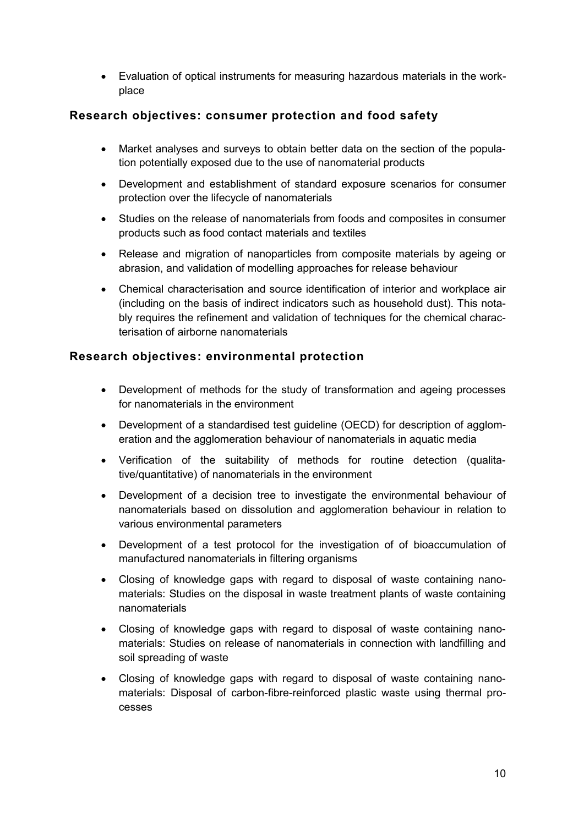Evaluation of optical instruments for measuring hazardous materials in the workplace

## **Research objectives: consumer protection and food safety**

- Market analyses and surveys to obtain better data on the section of the population potentially exposed due to the use of nanomaterial products
- Development and establishment of standard exposure scenarios for consumer protection over the lifecycle of nanomaterials
- Studies on the release of nanomaterials from foods and composites in consumer products such as food contact materials and textiles
- Release and migration of nanoparticles from composite materials by ageing or abrasion, and validation of modelling approaches for release behaviour
- Chemical characterisation and source identification of interior and workplace air (including on the basis of indirect indicators such as household dust). This notably requires the refinement and validation of techniques for the chemical characterisation of airborne nanomaterials

### **Research objectives: environmental protection**

- Development of methods for the study of transformation and ageing processes for nanomaterials in the environment
- Development of a standardised test guideline (OECD) for description of agglomeration and the agglomeration behaviour of nanomaterials in aquatic media
- Verification of the suitability of methods for routine detection (qualitative/quantitative) of nanomaterials in the environment
- Development of a decision tree to investigate the environmental behaviour of nanomaterials based on dissolution and agglomeration behaviour in relation to various environmental parameters
- Development of a test protocol for the investigation of of bioaccumulation of manufactured nanomaterials in filtering organisms
- Closing of knowledge gaps with regard to disposal of waste containing nanomaterials: Studies on the disposal in waste treatment plants of waste containing nanomaterials
- Closing of knowledge gaps with regard to disposal of waste containing nanomaterials: Studies on release of nanomaterials in connection with landfilling and soil spreading of waste
- Closing of knowledge gaps with regard to disposal of waste containing nanomaterials: Disposal of carbon-fibre-reinforced plastic waste using thermal processes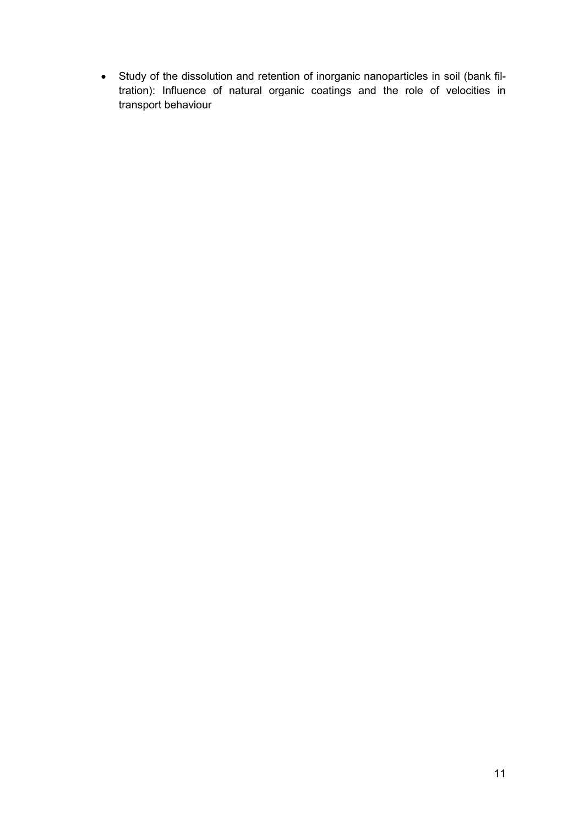Study of the dissolution and retention of inorganic nanoparticles in soil (bank filtration): Influence of natural organic coatings and the role of velocities in transport behaviour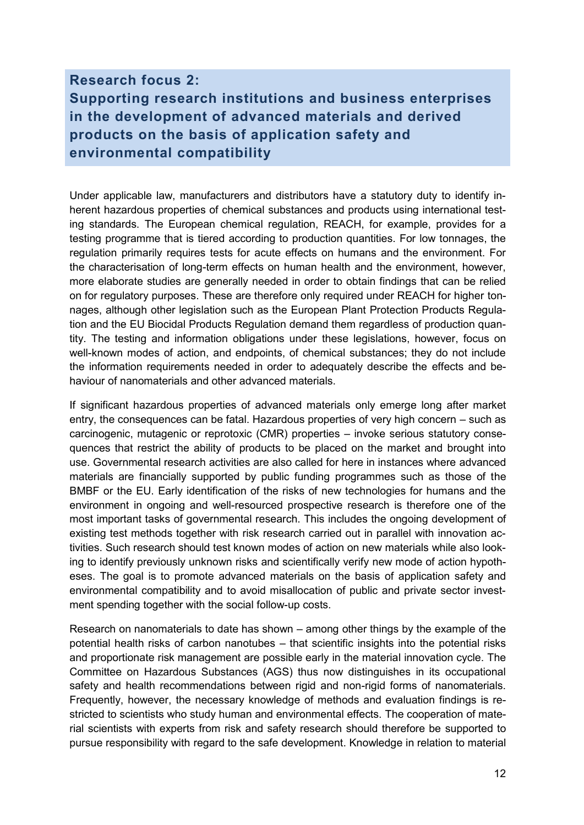# <span id="page-14-0"></span>**Research focus 2: Supporting research institutions and business enterprises in the development of advanced materials and derived products on the basis of application safety and environmental compatibility**

Under applicable law, manufacturers and distributors have a statutory duty to identify inherent hazardous properties of chemical substances and products using international testing standards. The European chemical regulation, REACH, for example, provides for a testing programme that is tiered according to production quantities. For low tonnages, the regulation primarily requires tests for acute effects on humans and the environment. For the characterisation of long-term effects on human health and the environment, however, more elaborate studies are generally needed in order to obtain findings that can be relied on for regulatory purposes. These are therefore only required under REACH for higher tonnages, although other legislation such as the European Plant Protection Products Regulation and the EU Biocidal Products Regulation demand them regardless of production quantity. The testing and information obligations under these legislations, however, focus on well-known modes of action, and endpoints, of chemical substances; they do not include the information requirements needed in order to adequately describe the effects and behaviour of nanomaterials and other advanced materials.

If significant hazardous properties of advanced materials only emerge long after market entry, the consequences can be fatal. Hazardous properties of very high concern – such as carcinogenic, mutagenic or reprotoxic (CMR) properties – invoke serious statutory consequences that restrict the ability of products to be placed on the market and brought into use. Governmental research activities are also called for here in instances where advanced materials are financially supported by public funding programmes such as those of the BMBF or the EU. Early identification of the risks of new technologies for humans and the environment in ongoing and well-resourced prospective research is therefore one of the most important tasks of governmental research. This includes the ongoing development of existing test methods together with risk research carried out in parallel with innovation activities. Such research should test known modes of action on new materials while also looking to identify previously unknown risks and scientifically verify new mode of action hypotheses. The goal is to promote advanced materials on the basis of application safety and environmental compatibility and to avoid misallocation of public and private sector investment spending together with the social follow-up costs.

Research on nanomaterials to date has shown – among other things by the example of the potential health risks of carbon nanotubes – that scientific insights into the potential risks and proportionate risk management are possible early in the material innovation cycle. The Committee on Hazardous Substances (AGS) thus now distinguishes in its occupational safety and health recommendations between rigid and non-rigid forms of nanomaterials. Frequently, however, the necessary knowledge of methods and evaluation findings is restricted to scientists who study human and environmental effects. The cooperation of material scientists with experts from risk and safety research should therefore be supported to pursue responsibility with regard to the safe development. Knowledge in relation to material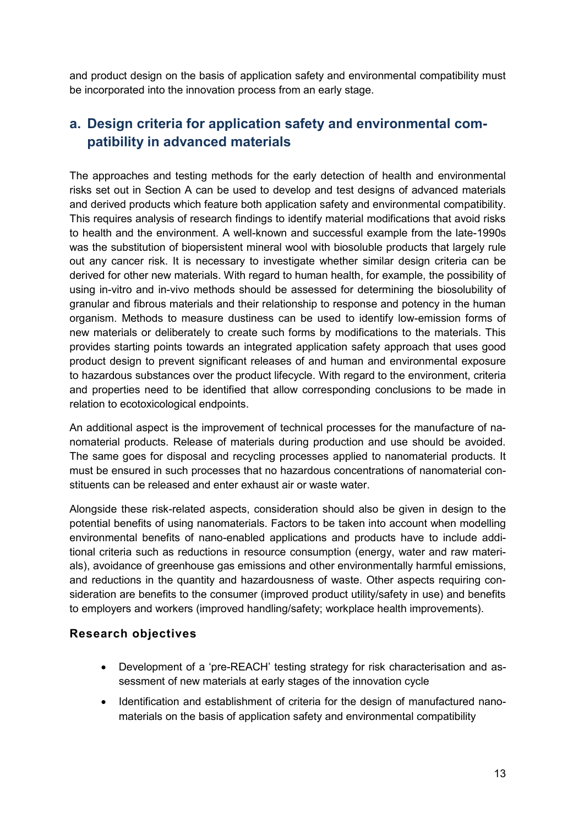and product design on the basis of application safety and environmental compatibility must be incorporated into the innovation process from an early stage.

# <span id="page-15-0"></span>**a. Design criteria for application safety and environmental compatibility in advanced materials**

The approaches and testing methods for the early detection of health and environmental risks set out in Section A can be used to develop and test designs of advanced materials and derived products which feature both application safety and environmental compatibility. This requires analysis of research findings to identify material modifications that avoid risks to health and the environment. A well-known and successful example from the late-1990s was the substitution of biopersistent mineral wool with biosoluble products that largely rule out any cancer risk. It is necessary to investigate whether similar design criteria can be derived for other new materials. With regard to human health, for example, the possibility of using in-vitro and in-vivo methods should be assessed for determining the biosolubility of granular and fibrous materials and their relationship to response and potency in the human organism. Methods to measure dustiness can be used to identify low-emission forms of new materials or deliberately to create such forms by modifications to the materials. This provides starting points towards an integrated application safety approach that uses good product design to prevent significant releases of and human and environmental exposure to hazardous substances over the product lifecycle. With regard to the environment, criteria and properties need to be identified that allow corresponding conclusions to be made in relation to ecotoxicological endpoints.

An additional aspect is the improvement of technical processes for the manufacture of nanomaterial products. Release of materials during production and use should be avoided. The same goes for disposal and recycling processes applied to nanomaterial products. It must be ensured in such processes that no hazardous concentrations of nanomaterial constituents can be released and enter exhaust air or waste water.

Alongside these risk-related aspects, consideration should also be given in design to the potential benefits of using nanomaterials. Factors to be taken into account when modelling environmental benefits of nano-enabled applications and products have to include additional criteria such as reductions in resource consumption (energy, water and raw materials), avoidance of greenhouse gas emissions and other environmentally harmful emissions, and reductions in the quantity and hazardousness of waste. Other aspects requiring consideration are benefits to the consumer (improved product utility/safety in use) and benefits to employers and workers (improved handling/safety; workplace health improvements).

#### **Research objectives**

- Development of a 'pre-REACH' testing strategy for risk characterisation and assessment of new materials at early stages of the innovation cycle
- Identification and establishment of criteria for the design of manufactured nanomaterials on the basis of application safety and environmental compatibility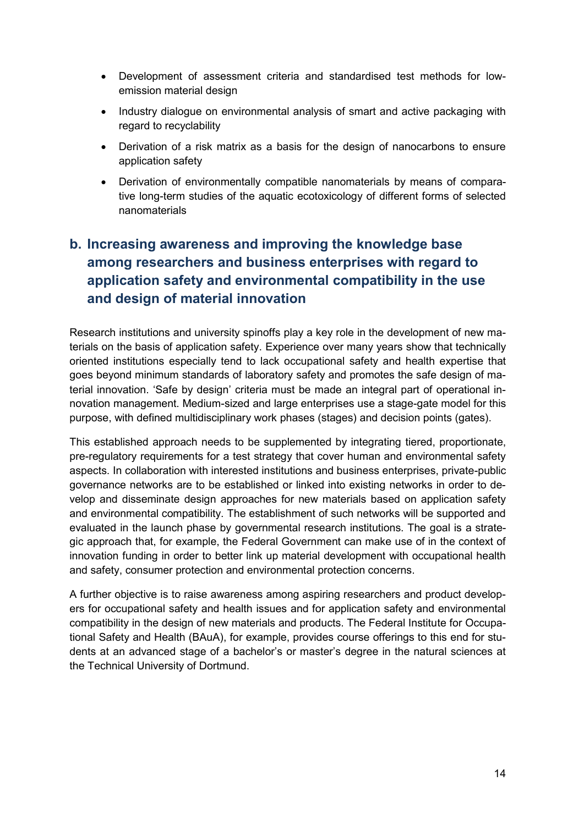- Development of assessment criteria and standardised test methods for lowemission material design
- Industry dialogue on environmental analysis of smart and active packaging with regard to recyclability
- Derivation of a risk matrix as a basis for the design of nanocarbons to ensure application safety
- Derivation of environmentally compatible nanomaterials by means of comparative long-term studies of the aquatic ecotoxicology of different forms of selected nanomaterials

# <span id="page-16-0"></span>**b. Increasing awareness and improving the knowledge base among researchers and business enterprises with regard to application safety and environmental compatibility in the use and design of material innovation**

Research institutions and university spinoffs play a key role in the development of new materials on the basis of application safety. Experience over many years show that technically oriented institutions especially tend to lack occupational safety and health expertise that goes beyond minimum standards of laboratory safety and promotes the safe design of material innovation. 'Safe by design' criteria must be made an integral part of operational innovation management. Medium-sized and large enterprises use a stage-gate model for this purpose, with defined multidisciplinary work phases (stages) and decision points (gates).

This established approach needs to be supplemented by integrating tiered, proportionate, pre-regulatory requirements for a test strategy that cover human and environmental safety aspects. In collaboration with interested institutions and business enterprises, private-public governance networks are to be established or linked into existing networks in order to develop and disseminate design approaches for new materials based on application safety and environmental compatibility. The establishment of such networks will be supported and evaluated in the launch phase by governmental research institutions. The goal is a strategic approach that, for example, the Federal Government can make use of in the context of innovation funding in order to better link up material development with occupational health and safety, consumer protection and environmental protection concerns.

A further objective is to raise awareness among aspiring researchers and product developers for occupational safety and health issues and for application safety and environmental compatibility in the design of new materials and products. The Federal Institute for Occupational Safety and Health (BAuA), for example, provides course offerings to this end for students at an advanced stage of a bachelor's or master's degree in the natural sciences at the Technical University of Dortmund.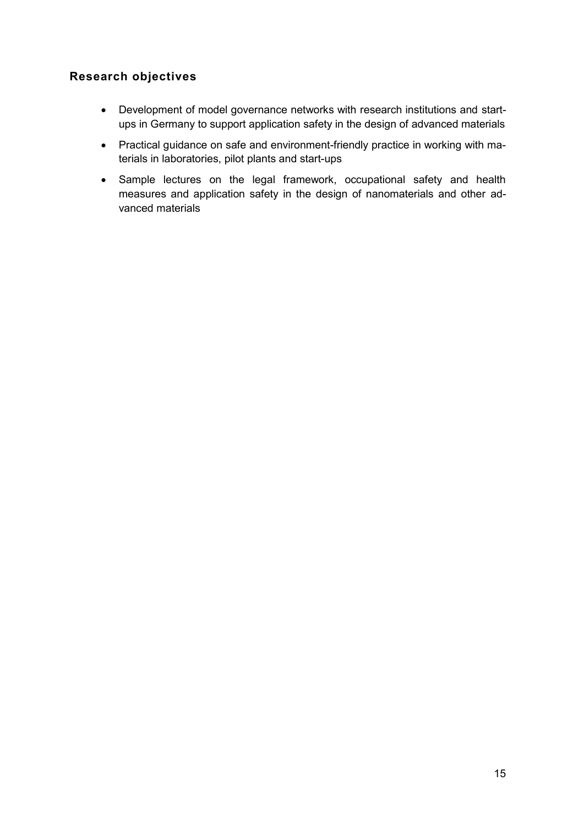## **Research objectives**

- Development of model governance networks with research institutions and startups in Germany to support application safety in the design of advanced materials
- Practical guidance on safe and environment-friendly practice in working with materials in laboratories, pilot plants and start-ups
- Sample lectures on the legal framework, occupational safety and health measures and application safety in the design of nanomaterials and other advanced materials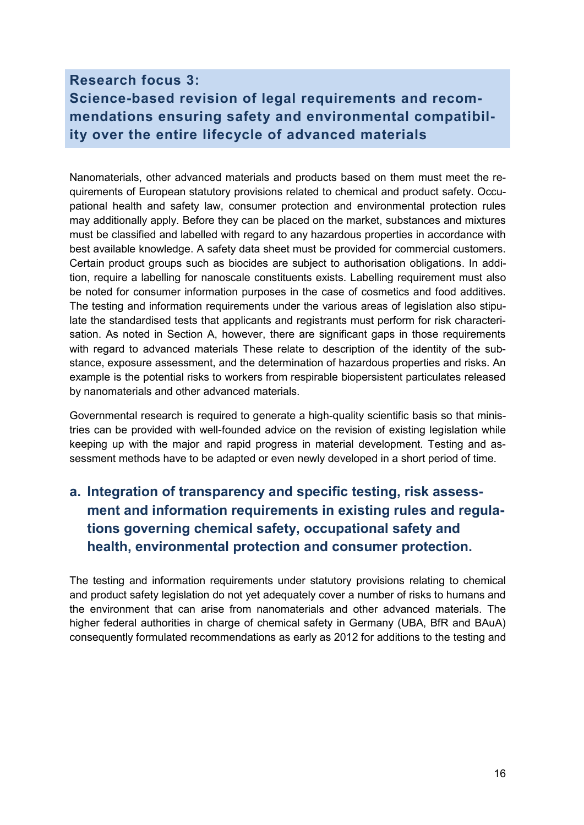# <span id="page-18-0"></span>**Research focus 3: Science-based revision of legal requirements and recommendations ensuring safety and environmental compatibility over the entire lifecycle of advanced materials**

Nanomaterials, other advanced materials and products based on them must meet the requirements of European statutory provisions related to chemical and product safety. Occupational health and safety law, consumer protection and environmental protection rules may additionally apply. Before they can be placed on the market, substances and mixtures must be classified and labelled with regard to any hazardous properties in accordance with best available knowledge. A safety data sheet must be provided for commercial customers. Certain product groups such as biocides are subject to authorisation obligations. In addition, require a labelling for nanoscale constituents exists. Labelling requirement must also be noted for consumer information purposes in the case of cosmetics and food additives. The testing and information requirements under the various areas of legislation also stipulate the standardised tests that applicants and registrants must perform for risk characterisation. As noted in Section A, however, there are significant gaps in those requirements with regard to advanced materials These relate to description of the identity of the substance, exposure assessment, and the determination of hazardous properties and risks. An example is the potential risks to workers from respirable biopersistent particulates released by nanomaterials and other advanced materials.

Governmental research is required to generate a high-quality scientific basis so that ministries can be provided with well-founded advice on the revision of existing legislation while keeping up with the major and rapid progress in material development. Testing and assessment methods have to be adapted or even newly developed in a short period of time.

# <span id="page-18-1"></span>**a. Integration of transparency and specific testing, risk assessment and information requirements in existing rules and regulations governing chemical safety, occupational safety and health, environmental protection and consumer protection.**

The testing and information requirements under statutory provisions relating to chemical and product safety legislation do not yet adequately cover a number of risks to humans and the environment that can arise from nanomaterials and other advanced materials. The higher federal authorities in charge of chemical safety in Germany (UBA, BfR and BAuA) consequently formulated recommendations as early as 2012 for additions to the testing and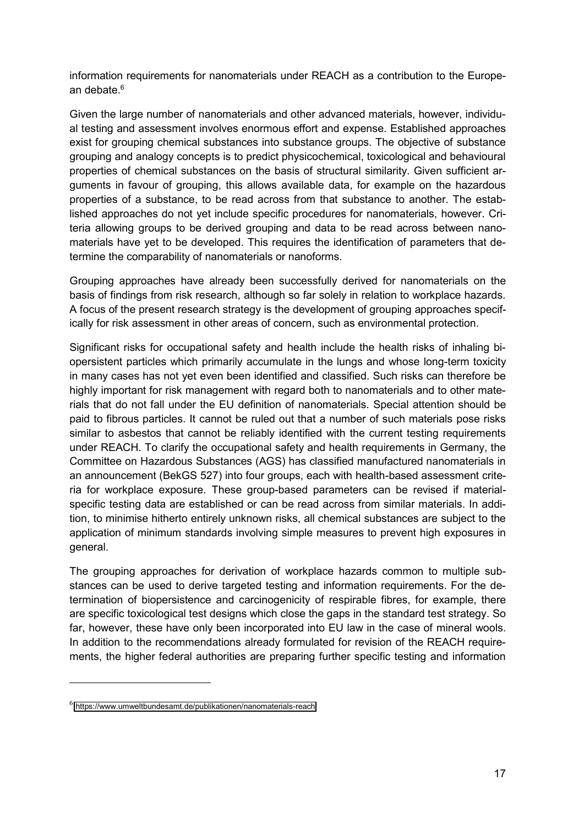information requirements for nanomaterials under REACH as a contribution to the European debate.<sup>6</sup>

Given the large number of nanomaterials and other advanced materials, however, individual testing and assessment involves enormous effort and expense. Established approaches exist for grouping chemical substances into substance groups. The objective of substance grouping and analogy concepts is to predict physicochemical, toxicological and behavioural properties of chemical substances on the basis of structural similarity. Given sufficient arguments in favour of grouping, this allows available data, for example on the hazardous properties of a substance, to be read across from that substance to another. The established approaches do not yet include specific procedures for nanomaterials, however. Criteria allowing groups to be derived grouping and data to be read across between nanomaterials have yet to be developed. This requires the identification of parameters that determine the comparability of nanomaterials or nanoforms.

Grouping approaches have already been successfully derived for nanomaterials on the basis of findings from risk research, although so far solely in relation to workplace hazards. A focus of the present research strategy is the development of grouping approaches specifically for risk assessment in other areas of concern, such as environmental protection.

Significant risks for occupational safety and health include the health risks of inhaling biopersistent particles which primarily accumulate in the lungs and whose long-term toxicity in many cases has not yet even been identified and classified. Such risks can therefore be highly important for risk management with regard both to nanomaterials and to other materials that do not fall under the EU definition of nanomaterials. Special attention should be paid to fibrous particles. It cannot be ruled out that a number of such materials pose risks similar to asbestos that cannot be reliably identified with the current testing requirements under REACH. To clarify the occupational safety and health requirements in Germany, the Committee on Hazardous Substances (AGS) has classified manufactured nanomaterials in an announcement (BekGS 527) into four groups, each with health-based assessment criteria for workplace exposure. These group-based parameters can be revised if materialspecific testing data are established or can be read across from similar materials. In addition, to minimise hitherto entirely unknown risks, all chemical substances are subject to the application of minimum standards involving simple measures to prevent high exposures in general.

The grouping approaches for derivation of workplace hazards common to multiple substances can be used to derive targeted testing and information requirements. For the determination of biopersistence and carcinogenicity of respirable fibres, for example, there are specific toxicological test designs which close the gaps in the standard test strategy. So far, however, these have only been incorporated into EU law in the case of mineral wools. In addition to the recommendations already formulated for revision of the REACH requirements, the higher federal authorities are preparing further specific testing and information

 $\overline{a}$ 

 $^6$  <https://www.umweltbundesamt.de/publikationen/nanomaterials-reach>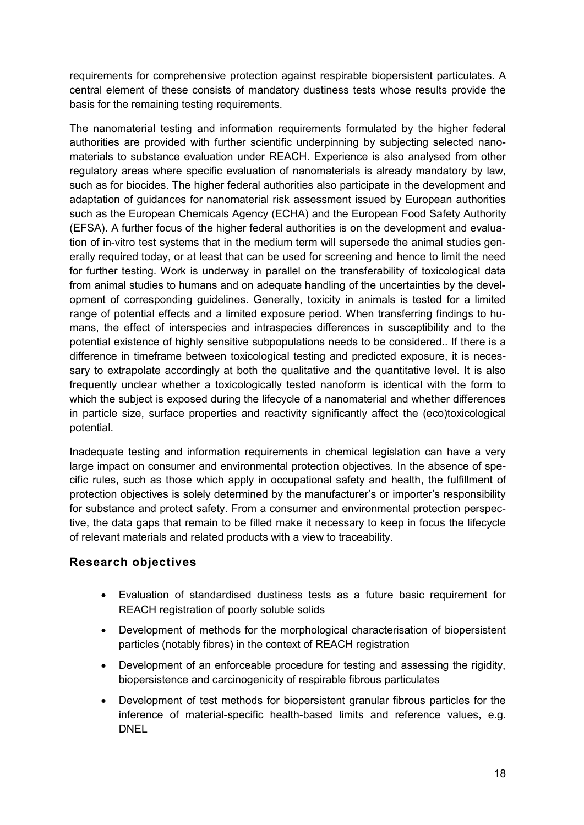requirements for comprehensive protection against respirable biopersistent particulates. A central element of these consists of mandatory dustiness tests whose results provide the basis for the remaining testing requirements.

The nanomaterial testing and information requirements formulated by the higher federal authorities are provided with further scientific underpinning by subjecting selected nanomaterials to substance evaluation under REACH. Experience is also analysed from other regulatory areas where specific evaluation of nanomaterials is already mandatory by law, such as for biocides. The higher federal authorities also participate in the development and adaptation of guidances for nanomaterial risk assessment issued by European authorities such as the European Chemicals Agency (ECHA) and the European Food Safety Authority (EFSA). A further focus of the higher federal authorities is on the development and evaluation of in-vitro test systems that in the medium term will supersede the animal studies generally required today, or at least that can be used for screening and hence to limit the need for further testing. Work is underway in parallel on the transferability of toxicological data from animal studies to humans and on adequate handling of the uncertainties by the development of corresponding guidelines. Generally, toxicity in animals is tested for a limited range of potential effects and a limited exposure period. When transferring findings to humans, the effect of interspecies and intraspecies differences in susceptibility and to the potential existence of highly sensitive subpopulations needs to be considered.. If there is a difference in timeframe between toxicological testing and predicted exposure, it is necessary to extrapolate accordingly at both the qualitative and the quantitative level. It is also frequently unclear whether a toxicologically tested nanoform is identical with the form to which the subject is exposed during the lifecycle of a nanomaterial and whether differences in particle size, surface properties and reactivity significantly affect the (eco)toxicological potential.

Inadequate testing and information requirements in chemical legislation can have a very large impact on consumer and environmental protection objectives. In the absence of specific rules, such as those which apply in occupational safety and health, the fulfillment of protection objectives is solely determined by the manufacturer's or importer's responsibility for substance and protect safety. From a consumer and environmental protection perspective, the data gaps that remain to be filled make it necessary to keep in focus the lifecycle of relevant materials and related products with a view to traceability.

### **Research objectives**

- Evaluation of standardised dustiness tests as a future basic requirement for REACH registration of poorly soluble solids
- Development of methods for the morphological characterisation of biopersistent particles (notably fibres) in the context of REACH registration
- Development of an enforceable procedure for testing and assessing the rigidity, biopersistence and carcinogenicity of respirable fibrous particulates
- Development of test methods for biopersistent granular fibrous particles for the inference of material-specific health-based limits and reference values, e.g. **DNEL**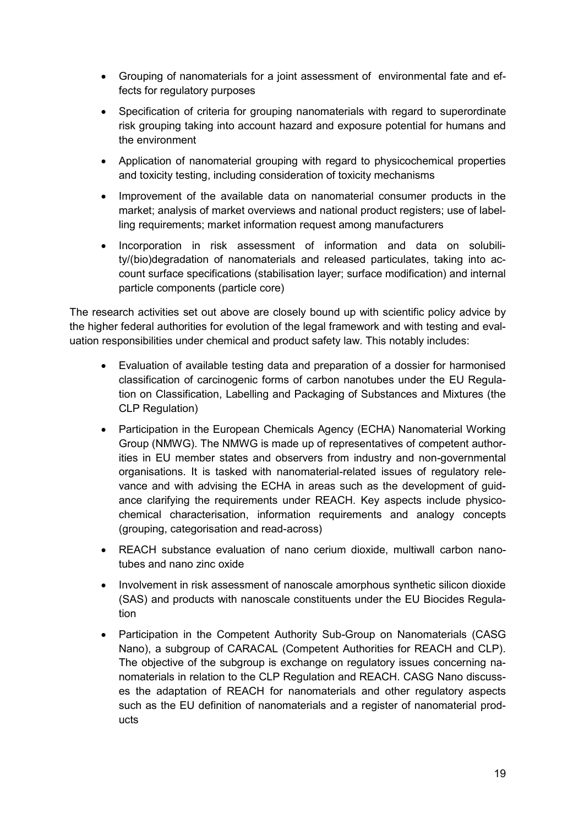- Grouping of nanomaterials for a joint assessment of environmental fate and effects for regulatory purposes
- Specification of criteria for grouping nanomaterials with regard to superordinate risk grouping taking into account hazard and exposure potential for humans and the environment
- Application of nanomaterial grouping with regard to physicochemical properties and toxicity testing, including consideration of toxicity mechanisms
- Improvement of the available data on nanomaterial consumer products in the market; analysis of market overviews and national product registers; use of labelling requirements; market information request among manufacturers
- Incorporation in risk assessment of information and data on solubility/(bio)degradation of nanomaterials and released particulates, taking into account surface specifications (stabilisation layer; surface modification) and internal particle components (particle core)

The research activities set out above are closely bound up with scientific policy advice by the higher federal authorities for evolution of the legal framework and with testing and evaluation responsibilities under chemical and product safety law. This notably includes:

- Evaluation of available testing data and preparation of a dossier for harmonised classification of carcinogenic forms of carbon nanotubes under the EU Regulation on Classification, Labelling and Packaging of Substances and Mixtures (the CLP Regulation)
- Participation in the European Chemicals Agency (ECHA) Nanomaterial Working Group (NMWG). The NMWG is made up of representatives of competent authorities in EU member states and observers from industry and non-governmental organisations. It is tasked with nanomaterial-related issues of regulatory relevance and with advising the ECHA in areas such as the development of guidance clarifying the requirements under REACH. Key aspects include physicochemical characterisation, information requirements and analogy concepts (grouping, categorisation and read-across)
- REACH substance evaluation of nano cerium dioxide, multiwall carbon nanotubes and nano zinc oxide
- Involvement in risk assessment of nanoscale amorphous synthetic silicon dioxide (SAS) and products with nanoscale constituents under the EU Biocides Regulation
- Participation in the Competent Authority Sub-Group on Nanomaterials (CASG Nano), a subgroup of CARACAL (Competent Authorities for REACH and CLP). The objective of the subgroup is exchange on regulatory issues concerning nanomaterials in relation to the CLP Regulation and REACH. CASG Nano discusses the adaptation of REACH for nanomaterials and other regulatory aspects such as the EU definition of nanomaterials and a register of nanomaterial products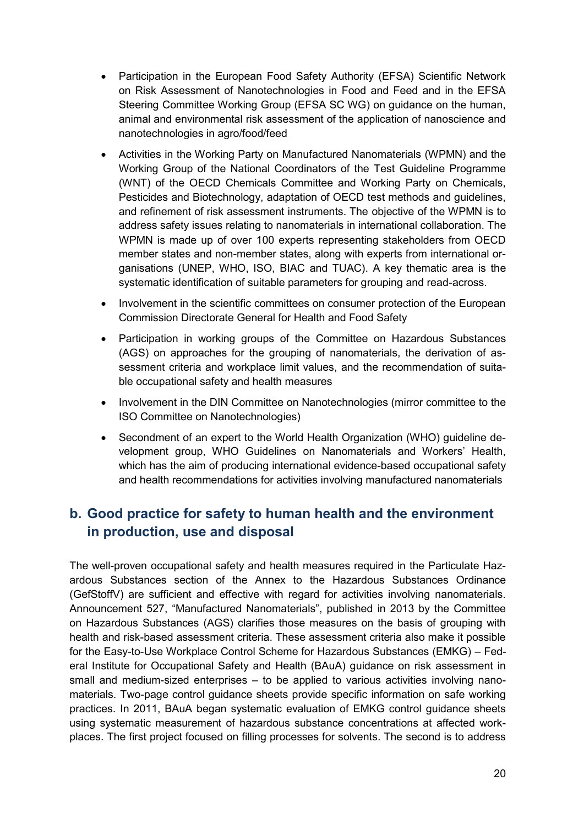- Participation in the European Food Safety Authority (EFSA) Scientific Network on Risk Assessment of Nanotechnologies in Food and Feed and in the EFSA Steering Committee Working Group (EFSA SC WG) on guidance on the human, animal and environmental risk assessment of the application of nanoscience and nanotechnologies in agro/food/feed
- Activities in the Working Party on Manufactured Nanomaterials (WPMN) and the Working Group of the National Coordinators of the Test Guideline Programme (WNT) of the OECD Chemicals Committee and Working Party on Chemicals, Pesticides and Biotechnology, adaptation of OECD test methods and guidelines, and refinement of risk assessment instruments. The objective of the WPMN is to address safety issues relating to nanomaterials in international collaboration. The WPMN is made up of over 100 experts representing stakeholders from OECD member states and non-member states, along with experts from international organisations (UNEP, WHO, ISO, BIAC and TUAC). A key thematic area is the systematic identification of suitable parameters for grouping and read-across.
- Involvement in the scientific committees on consumer protection of the European Commission Directorate General for Health and Food Safety
- Participation in working groups of the Committee on Hazardous Substances (AGS) on approaches for the grouping of nanomaterials, the derivation of assessment criteria and workplace limit values, and the recommendation of suitable occupational safety and health measures
- Involvement in the DIN Committee on Nanotechnologies (mirror committee to the ISO Committee on Nanotechnologies)
- Secondment of an expert to the World Health Organization (WHO) guideline development group, WHO Guidelines on Nanomaterials and Workers' Health, which has the aim of producing international evidence-based occupational safety and health recommendations for activities involving manufactured nanomaterials

## <span id="page-22-0"></span>**b. Good practice for safety to human health and the environment in production, use and disposal**

The well-proven occupational safety and health measures required in the Particulate Hazardous Substances section of the Annex to the Hazardous Substances Ordinance (GefStoffV) are sufficient and effective with regard for activities involving nanomaterials. Announcement 527, "Manufactured Nanomaterials", published in 2013 by the Committee on Hazardous Substances (AGS) clarifies those measures on the basis of grouping with health and risk-based assessment criteria. These assessment criteria also make it possible for the Easy-to-Use Workplace Control Scheme for Hazardous Substances (EMKG) – Federal Institute for Occupational Safety and Health (BAuA) guidance on risk assessment in small and medium-sized enterprises – to be applied to various activities involving nanomaterials. Two-page control guidance sheets provide specific information on safe working practices. In 2011, BAuA began systematic evaluation of EMKG control guidance sheets using systematic measurement of hazardous substance concentrations at affected workplaces. The first project focused on filling processes for solvents. The second is to address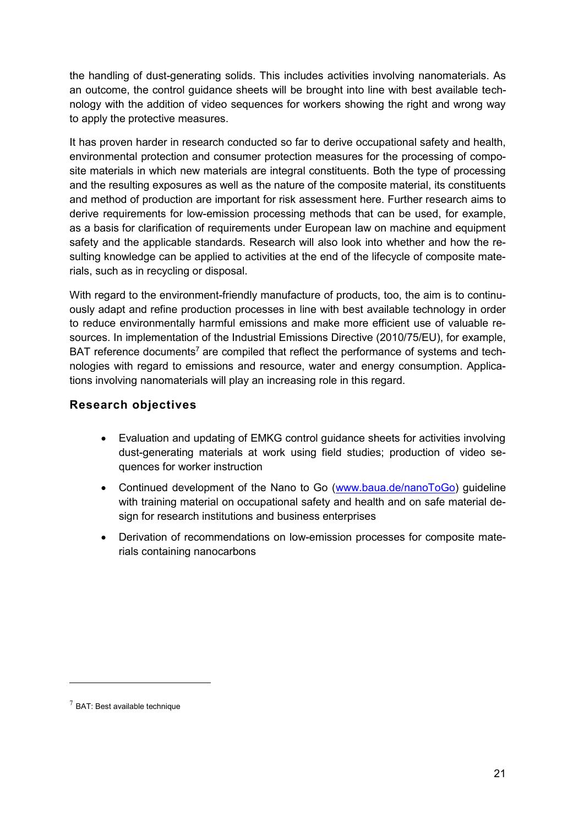the handling of dust-generating solids. This includes activities involving nanomaterials. As an outcome, the control guidance sheets will be brought into line with best available technology with the addition of video sequences for workers showing the right and wrong way to apply the protective measures.

It has proven harder in research conducted so far to derive occupational safety and health, environmental protection and consumer protection measures for the processing of composite materials in which new materials are integral constituents. Both the type of processing and the resulting exposures as well as the nature of the composite material, its constituents and method of production are important for risk assessment here. Further research aims to derive requirements for low-emission processing methods that can be used, for example, as a basis for clarification of requirements under European law on machine and equipment safety and the applicable standards. Research will also look into whether and how the resulting knowledge can be applied to activities at the end of the lifecycle of composite materials, such as in recycling or disposal.

With regard to the environment-friendly manufacture of products, too, the aim is to continuously adapt and refine production processes in line with best available technology in order to reduce environmentally harmful emissions and make more efficient use of valuable resources. In implementation of the Industrial Emissions Directive (2010/75/EU), for example, BAT reference documents<sup>7</sup> are compiled that reflect the performance of systems and technologies with regard to emissions and resource, water and energy consumption. Applications involving nanomaterials will play an increasing role in this regard.

#### **Research objectives**

- Evaluation and updating of EMKG control guidance sheets for activities involving dust-generating materials at work using field studies; production of video sequences for worker instruction
- Continued development of the Nano to Go [\(www.baua.de/nanoToGo\)](http://www.baua.de/nanoToGo) guideline with training material on occupational safety and health and on safe material design for research institutions and business enterprises
- Derivation of recommendations on low-emission processes for composite materials containing nanocarbons

 $\overline{a}$ 

 $7$  BAT: Best available technique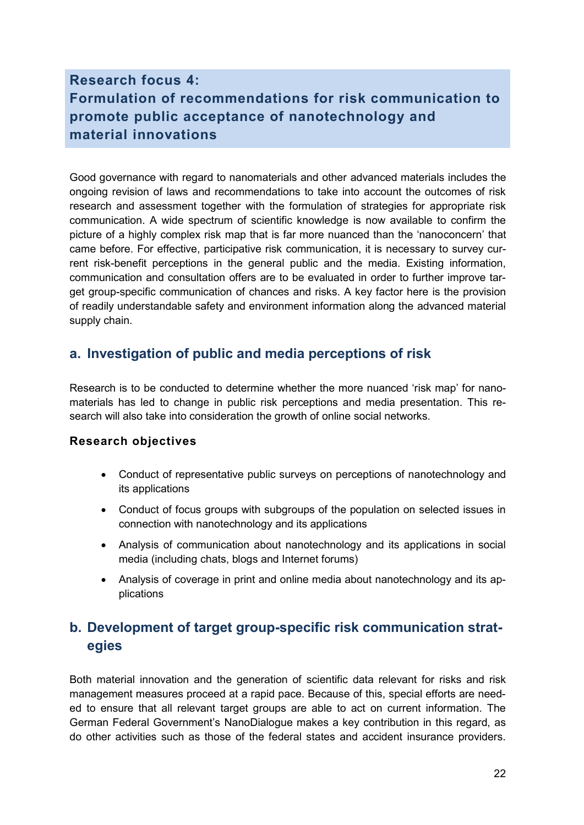# <span id="page-24-0"></span>**Research focus 4: Formulation of recommendations for risk communication to promote public acceptance of nanotechnology and material innovations**

Good governance with regard to nanomaterials and other advanced materials includes the ongoing revision of laws and recommendations to take into account the outcomes of risk research and assessment together with the formulation of strategies for appropriate risk communication. A wide spectrum of scientific knowledge is now available to confirm the picture of a highly complex risk map that is far more nuanced than the 'nanoconcern' that came before. For effective, participative risk communication, it is necessary to survey current risk-benefit perceptions in the general public and the media. Existing information, communication and consultation offers are to be evaluated in order to further improve target group-specific communication of chances and risks. A key factor here is the provision of readily understandable safety and environment information along the advanced material supply chain.

## <span id="page-24-1"></span>**a. Investigation of public and media perceptions of risk**

Research is to be conducted to determine whether the more nuanced 'risk map' for nanomaterials has led to change in public risk perceptions and media presentation. This research will also take into consideration the growth of online social networks.

### **Research objectives**

- Conduct of representative public surveys on perceptions of nanotechnology and its applications
- Conduct of focus groups with subgroups of the population on selected issues in connection with nanotechnology and its applications
- Analysis of communication about nanotechnology and its applications in social media (including chats, blogs and Internet forums)
- Analysis of coverage in print and online media about nanotechnology and its applications

# <span id="page-24-2"></span>**b. Development of target group-specific risk communication strategies**

Both material innovation and the generation of scientific data relevant for risks and risk management measures proceed at a rapid pace. Because of this, special efforts are needed to ensure that all relevant target groups are able to act on current information. The German Federal Government's NanoDialogue makes a key contribution in this regard, as do other activities such as those of the federal states and accident insurance providers.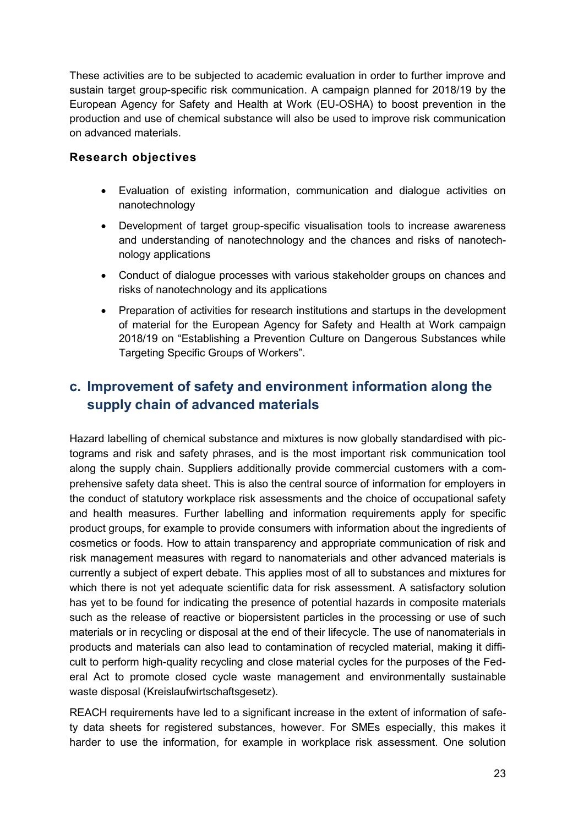These activities are to be subjected to academic evaluation in order to further improve and sustain target group-specific risk communication. A campaign planned for 2018/19 by the European Agency for Safety and Health at Work (EU-OSHA) to boost prevention in the production and use of chemical substance will also be used to improve risk communication on advanced materials.

#### **Research objectives**

- Evaluation of existing information, communication and dialogue activities on nanotechnology
- Development of target group-specific visualisation tools to increase awareness and understanding of nanotechnology and the chances and risks of nanotechnology applications
- Conduct of dialogue processes with various stakeholder groups on chances and risks of nanotechnology and its applications
- Preparation of activities for research institutions and startups in the development of material for the European Agency for Safety and Health at Work campaign 2018/19 on "Establishing a Prevention Culture on Dangerous Substances while Targeting Specific Groups of Workers".

# <span id="page-25-0"></span>**c. Improvement of safety and environment information along the supply chain of advanced materials**

Hazard labelling of chemical substance and mixtures is now globally standardised with pictograms and risk and safety phrases, and is the most important risk communication tool along the supply chain. Suppliers additionally provide commercial customers with a comprehensive safety data sheet. This is also the central source of information for employers in the conduct of statutory workplace risk assessments and the choice of occupational safety and health measures. Further labelling and information requirements apply for specific product groups, for example to provide consumers with information about the ingredients of cosmetics or foods. How to attain transparency and appropriate communication of risk and risk management measures with regard to nanomaterials and other advanced materials is currently a subject of expert debate. This applies most of all to substances and mixtures for which there is not yet adequate scientific data for risk assessment. A satisfactory solution has yet to be found for indicating the presence of potential hazards in composite materials such as the release of reactive or biopersistent particles in the processing or use of such materials or in recycling or disposal at the end of their lifecycle. The use of nanomaterials in products and materials can also lead to contamination of recycled material, making it difficult to perform high-quality recycling and close material cycles for the purposes of the Federal Act to promote closed cycle waste management and environmentally sustainable waste disposal (Kreislaufwirtschaftsgesetz).

REACH requirements have led to a significant increase in the extent of information of safety data sheets for registered substances, however. For SMEs especially, this makes it harder to use the information, for example in workplace risk assessment. One solution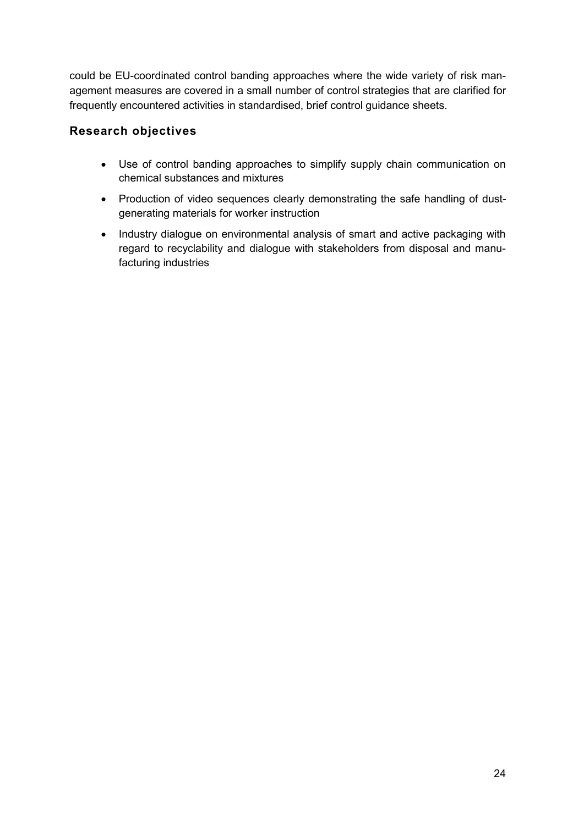could be EU-coordinated control banding approaches where the wide variety of risk management measures are covered in a small number of control strategies that are clarified for frequently encountered activities in standardised, brief control guidance sheets.

## **Research objectives**

- Use of control banding approaches to simplify supply chain communication on chemical substances and mixtures
- Production of video sequences clearly demonstrating the safe handling of dustgenerating materials for worker instruction
- Industry dialogue on environmental analysis of smart and active packaging with regard to recyclability and dialogue with stakeholders from disposal and manufacturing industries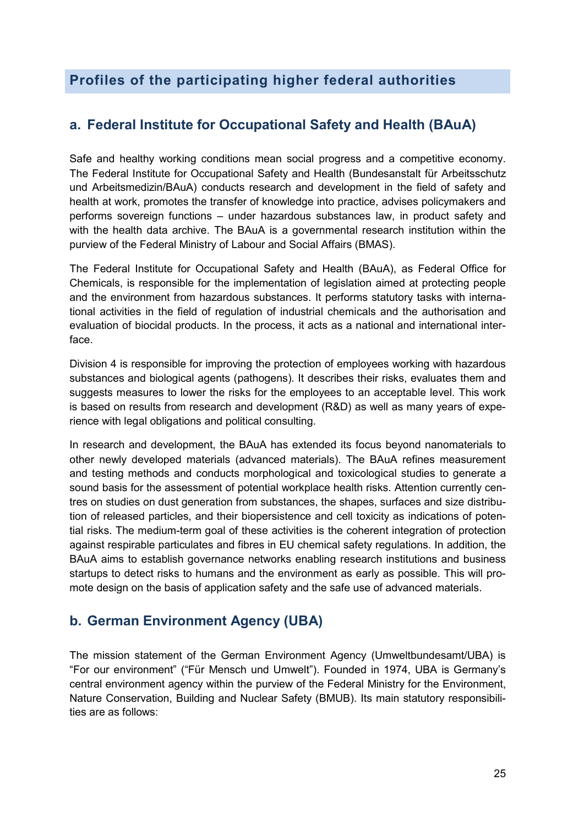## <span id="page-27-0"></span>**Profiles of the participating higher federal authorities**

## <span id="page-27-1"></span>**a. Federal Institute for Occupational Safety and Health (BAuA)**

Safe and healthy working conditions mean social progress and a competitive economy. The Federal Institute for Occupational Safety and Health (Bundesanstalt für Arbeitsschutz und Arbeitsmedizin/BAuA) conducts research and development in the field of safety and health at work, promotes the transfer of knowledge into practice, advises policymakers and performs sovereign functions – under hazardous substances law, in product safety and with the health data archive. The BAuA is a governmental research institution within the purview of the Federal Ministry of Labour and Social Affairs (BMAS).

The Federal Institute for Occupational Safety and Health (BAuA), as Federal Office for Chemicals, is responsible for the implementation of legislation aimed at protecting people and the environment from hazardous substances. It performs statutory tasks with international activities in the field of regulation of industrial chemicals and the authorisation and evaluation of biocidal products. In the process, it acts as a national and international interface.

Division 4 is responsible for improving the protection of employees working with hazardous substances and biological agents (pathogens). It describes their risks, evaluates them and suggests measures to lower the risks for the employees to an acceptable level. This work is based on results from research and development (R&D) as well as many years of experience with legal obligations and political consulting.

In research and development, the BAuA has extended its focus beyond nanomaterials to other newly developed materials (advanced materials). The BAuA refines measurement and testing methods and conducts morphological and toxicological studies to generate a sound basis for the assessment of potential workplace health risks. Attention currently centres on studies on dust generation from substances, the shapes, surfaces and size distribution of released particles, and their biopersistence and cell toxicity as indications of potential risks. The medium-term goal of these activities is the coherent integration of protection against respirable particulates and fibres in EU chemical safety regulations. In addition, the BAuA aims to establish governance networks enabling research institutions and business startups to detect risks to humans and the environment as early as possible. This will promote design on the basis of application safety and the safe use of advanced materials.

## <span id="page-27-2"></span>**b. German Environment Agency (UBA)**

The mission statement of the German Environment Agency (Umweltbundesamt/UBA) is "For our environment" ("Für Mensch und Umwelt"). Founded in 1974, UBA is Germany's central environment agency within the purview of the Federal Ministry for the Environment, Nature Conservation, Building and Nuclear Safety (BMUB). Its main statutory responsibilities are as follows: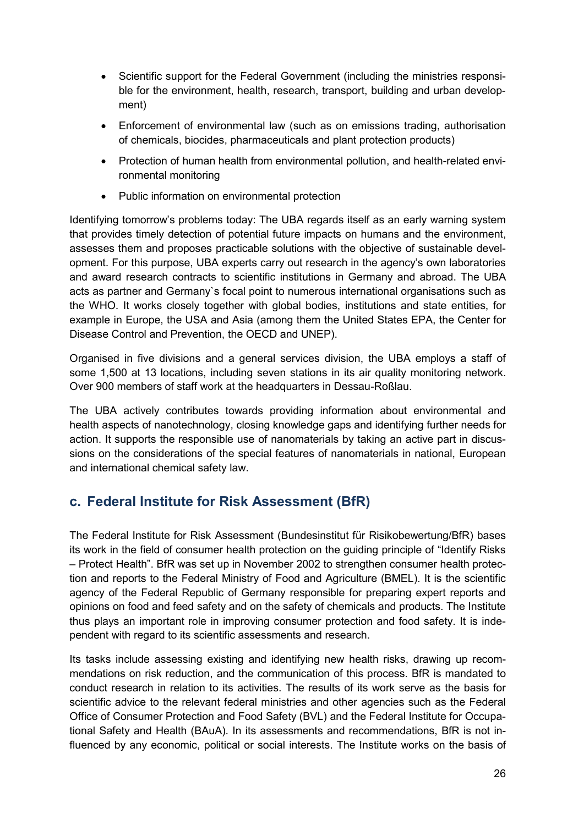- Scientific support for the Federal Government (including the ministries responsible for the environment, health, research, transport, building and urban development)
- Enforcement of environmental law (such as on emissions trading, authorisation of chemicals, biocides, pharmaceuticals and plant protection products)
- Protection of human health from environmental pollution, and health-related environmental monitoring
- Public information on environmental protection

Identifying tomorrow's problems today: The UBA regards itself as an early warning system that provides timely detection of potential future impacts on humans and the environment, assesses them and proposes practicable solutions with the objective of sustainable development. For this purpose, UBA experts carry out research in the agency's own laboratories and award research contracts to scientific institutions in Germany and abroad. The UBA acts as partner and Germany`s focal point to numerous international organisations such as the WHO. It works closely together with global bodies, institutions and state entities, for example in Europe, the USA and Asia (among them the United States EPA, the Center for Disease Control and Prevention, the OECD and UNEP).

Organised in five divisions and a general services division, the UBA employs a staff of some 1,500 at 13 locations, including seven stations in its air quality monitoring network. Over 900 members of staff work at the headquarters in Dessau-Roßlau.

The UBA actively contributes towards providing information about environmental and health aspects of nanotechnology, closing knowledge gaps and identifying further needs for action. It supports the responsible use of nanomaterials by taking an active part in discussions on the considerations of the special features of nanomaterials in national, European and international chemical safety law.

## <span id="page-28-0"></span>**c. Federal Institute for Risk Assessment (BfR)**

The Federal Institute for Risk Assessment (Bundesinstitut für Risikobewertung/BfR) bases its work in the field of consumer health protection on the guiding principle of "Identify Risks – Protect Health". BfR was set up in November 2002 to strengthen consumer health protection and reports to the Federal Ministry of Food and Agriculture (BMEL). It is the scientific agency of the Federal Republic of Germany responsible for preparing expert reports and opinions on food and feed safety and on the safety of chemicals and products. The Institute thus plays an important role in improving consumer protection and food safety. It is independent with regard to its scientific assessments and research.

Its tasks include assessing existing and identifying new health risks, drawing up recommendations on risk reduction, and the communication of this process. BfR is mandated to conduct research in relation to its activities. The results of its work serve as the basis for scientific advice to the relevant federal ministries and other agencies such as the Federal Office of Consumer Protection and Food Safety (BVL) and the Federal Institute for Occupational Safety and Health (BAuA). In its assessments and recommendations, BfR is not influenced by any economic, political or social interests. The Institute works on the basis of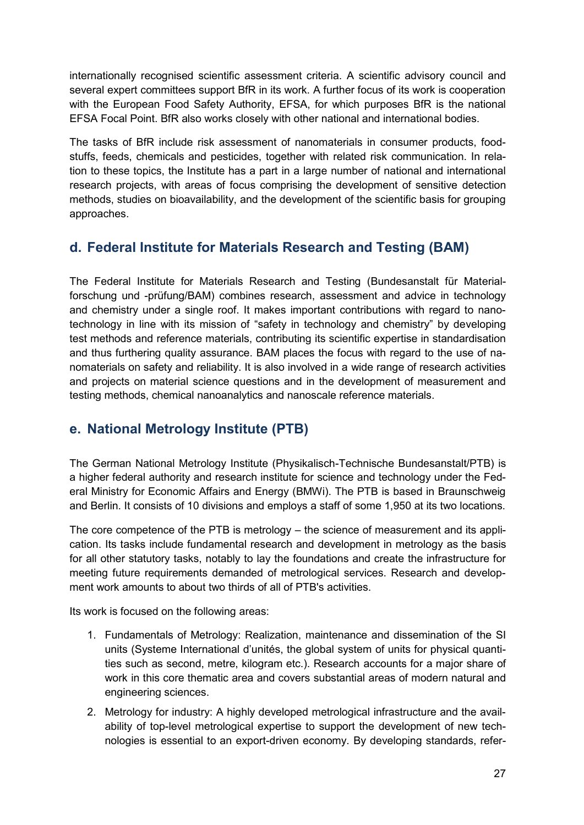internationally recognised scientific assessment criteria. A scientific advisory council and several expert committees support BfR in its work. A further focus of its work is cooperation with the European Food Safety Authority, EFSA, for which purposes BfR is the national EFSA Focal Point. BfR also works closely with other national and international bodies.

The tasks of BfR include risk assessment of nanomaterials in consumer products, foodstuffs, feeds, chemicals and pesticides, together with related risk communication. In relation to these topics, the Institute has a part in a large number of national and international research projects, with areas of focus comprising the development of sensitive detection methods, studies on bioavailability, and the development of the scientific basis for grouping approaches.

## <span id="page-29-0"></span>**d. Federal Institute for Materials Research and Testing (BAM)**

The Federal Institute for Materials Research and Testing (Bundesanstalt für Materialforschung und -prüfung/BAM) combines research, assessment and advice in technology and chemistry under a single roof. It makes important contributions with regard to nanotechnology in line with its mission of "safety in technology and chemistry" by developing test methods and reference materials, contributing its scientific expertise in standardisation and thus furthering quality assurance. BAM places the focus with regard to the use of nanomaterials on safety and reliability. It is also involved in a wide range of research activities and projects on material science questions and in the development of measurement and testing methods, chemical nanoanalytics and nanoscale reference materials.

## <span id="page-29-1"></span>**e. National Metrology Institute (PTB)**

The German National Metrology Institute (Physikalisch-Technische Bundesanstalt/PTB) is a higher federal authority and research institute for science and technology under the Federal Ministry for Economic Affairs and Energy (BMWi). The PTB is based in Braunschweig and Berlin. It consists of 10 divisions and employs a staff of some 1,950 at its two locations.

The core competence of the PTB is metrology – the science of measurement and its application. Its tasks include fundamental research and development in metrology as the basis for all other statutory tasks, notably to lay the foundations and create the infrastructure for meeting future requirements demanded of metrological services. Research and development work amounts to about two thirds of all of PTB's activities.

Its work is focused on the following areas:

- 1. Fundamentals of Metrology: Realization, maintenance and dissemination of the SI units (Systeme International d'unités, the global system of units for physical quantities such as second, metre, kilogram etc.). Research accounts for a major share of work in this core thematic area and covers substantial areas of modern natural and engineering sciences.
- 2. Metrology for industry: A highly developed metrological infrastructure and the availability of top-level metrological expertise to support the development of new technologies is essential to an export-driven economy. By developing standards, refer-